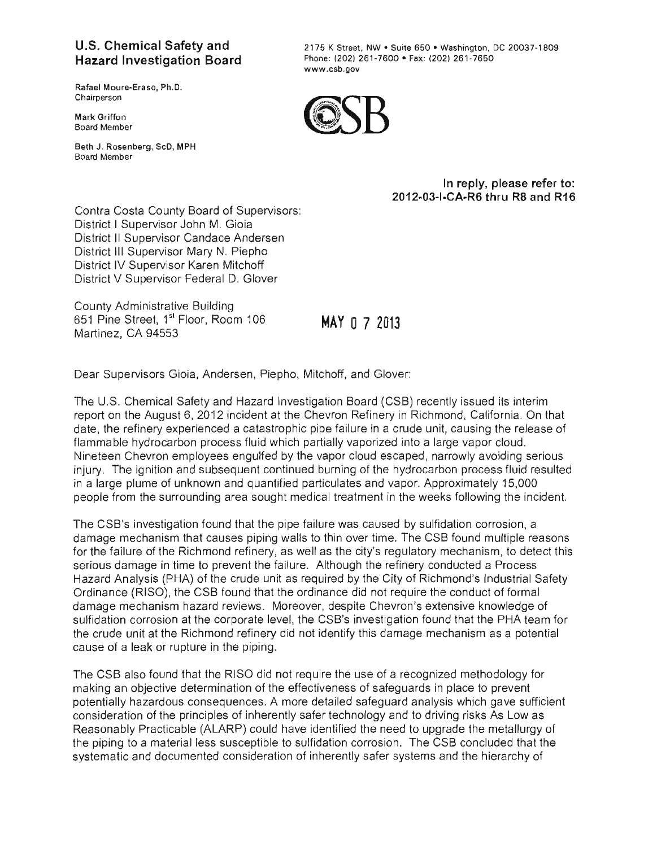# **U.S. Chemical Safety and Hazard Investigation Board**

**Rafael Moure-Eraso, Ph.D. Chairperson** 

**Mark Griffon Board Member** 

**Beth J. Rosenberg. SeD, MPH Board Member** 

**2175 K Street, NW· Suite 650· Washington, DC** <sup>20037</sup> <sup>1809</sup> Phone: (202) 261-7600 · Fax: (202) 261-7650 **www.csb.gov** 



**In reply, please refer to: 2012-03-I-CA-R6 thru RB and R16** 

Contra Costa County Board of Supervisors: District I Supervisor John M. Gioia District II Supervisor Candace Andersen District **III** Supervisor Mary N. Piepho District IV Supervisor Karen Mitchoff District V Supervisor Federal D. Glover

County Administrative Building 651 Pine Street, 1<sup>st</sup> Floor, Room 106 Martinez, CA 94553

**MAY 0 7 2013** 

Dear Supervisors Gioia, Andersen, Piepho, Mitchoff, and Glover:

The U.S. Chemical Safety and Hazard Investigation Board (CSB) recently issued its interim report on the August 6, 2012 incident at the Chevron Refinery in Richmond, California. On that date, the refinery experienced a catastrophic pipe failure in a crude unit, causing the release of flammable hydrocarbon process fluid which partially vaporized into a large vapor cloud. Nineteen Chevron employees engulfed by the vapor cloud escaped, narrowly avoiding serious injury. The ignition and subsequent continued burning of the hydrocarbon process fluid resulted in a large plume of unknown and quantified particulates and vapor. Approximately 15,000 people from the surrounding area sought medical treatment in the weeks following the incident.

The CSB's investigation found that the pipe failure was caused by sulfidation corrosion, a damage mechanism that causes piping walls to thin over time. The CSB found multiple reasons for the failure of the Richmond refinery, as well as the city's regulatory mechanism, to detect this serious damage in time to prevent the failure. Although the refinery conducted a Process Hazard Analysis (PHA) of the crude unit as required by the City of Richmond's Industrial Safety Ordinance (RISO), the CSB found that the ordinance did not require the conduct of formal damage mechanism hazard reviews. Moreover, despite Chevron's extensive knowledge of sulfidation corrosion at the corporate level, the CSB's investigation found that the PHA team for the crude unit at the Richmond refinery did not identify this damage mechanism as a potential cause of a leak or rupture in the piping.

The CSB also found that the RISO did not require the use of a recognized methodology for making an objective determination of the effectiveness of safeguards in place to prevent potentially hazardous consequences. A more detailed safeguard analysis which gave sufficient consideration of the principles of inherently safer technology and to driving risks As Low as Reasonably Practicable (ALARP) could have identified the need to upgrade the metallurgy of the piping to a material less susceptible to sulfidation corrosion. The CSB concluded that the systematic and documented consideration of inherently safer systems and the hierarchy of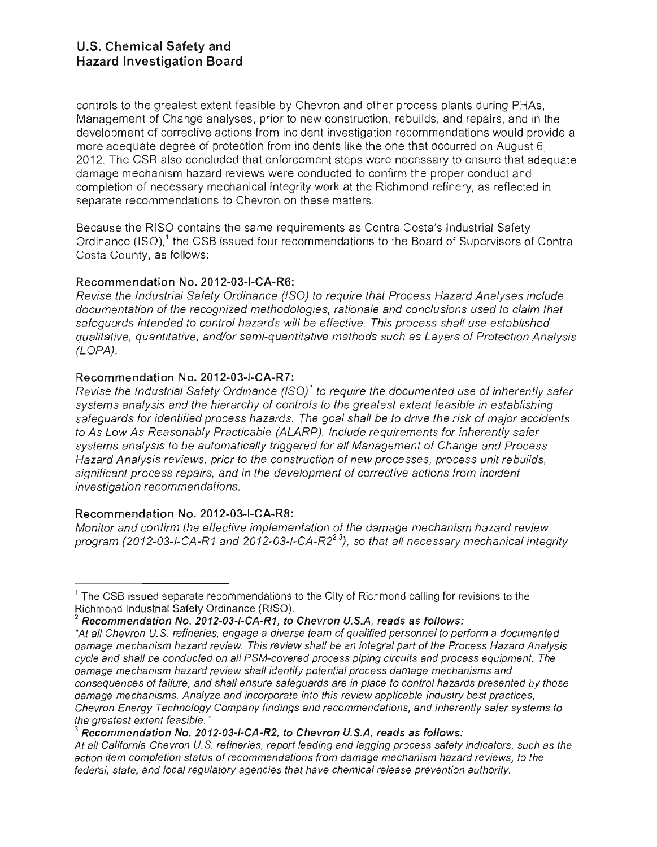controls to the greatest extent feasible by Chevron and other process plants during PHAs, Management of Change analyses, prior to new construction , rebuilds, and repairs, and in the development of corrective actions from incident investigation recommendations would provide a more adequate degree of protection from incidents like the one that occurred on August 6, 2012. The CSB also concluded that enforcement steps were necessary to ensure that adequate damage mechanism hazard reviews were conducted to confirm the proper conduct and completion of necessary mechanical integrity work at the Richmond refinery, as reflected in separate recommendations to Chevron on these matters.

Because the RISO contains the same requirements as Contra Costa's Industrial Safety Ordinance (ISO),' the CSB issued four recommendations to the Board of Supervisors of Contra Costa County, as follows:

#### Recommendation No. 2012-03-I-CA-R6:

Revise the Industrial Safety Ordinance (ISO) to require that Process Hazard Analyses include documentation of the recognized methodologies, rationale and conclusions used to claim that safeguards intended to control hazards will be effective. This process shall use established qualitative, quantitative, and/or semi-quantitative methods such as Layers of Protection Analysis (LOPA).

#### Recommendation No. 2012-03-I-CA-R7:

Revise the Industrial Safety Ordinance (ISO)' to require the documented use of inherently safer systems analysis and the hierarchy of controls to the greatest extent feasible in establishing safeguards for identified process hazards. The goal shall be to drive the risk of major accidents to As Low As Reasonably Practicable (ALARP). Include requirements for inherently safer systems analysis to be automatically triggered for all Management of Change and Process Hazard Analysis reviews, prior to the construction of new processes, process unit rebuilds, significant process repairs, and in the development of corrective actions from incident investigation recommendations.

#### Recommendation No. 2012-03-I-CA-R8:

Monitor and confirm the effective implementation of the damage mechanism hazard review program (2012-03-I-CA-R1 and 2012-03-I-CA-R2*23),* so that all necessary mechanical integrity

<sup>1</sup>The CSB issued separate recommendations to the City of Richmond calling for revisions to the Richmond Industrial Safety Ordinance (RISO).

 $^2$  Recommendation No. 2012-03-I-CA-R1, to Chevron U.S.A, reads as follows:

<sup>&</sup>quot;At all Chevron U.S. refineries, engage a diverse team of qualified personnel to perform a documented damage mechanism hazard review. This review shall be an integral part of the Process Hazard Analysis cycle and shall be conducted on all PSM-covered process piping circuits and process equipment. The damage mechanism hazard review shall identify potential process damage mechanisms and consequences of failure, and shall ensure safeguards are in place to control hazards presented by those damage mechanisms. Analyze and incorporate into this review applicable industry best practices, Chevron Energy Technology Company findings and recommendations, and inherently safer systems to the greatest extent feasible. "

Recommendation No. 2012-03-I-CA-R2, to Chevron U.S.A, reads as follows:

At all California Chevron U.S. refineries, report leading and lagging process safety indicators, such as the action item completion status of recommendations from damage mechanism hazard reviews, to the federal, state, and local regulatory agencies that have chemical release prevention authority.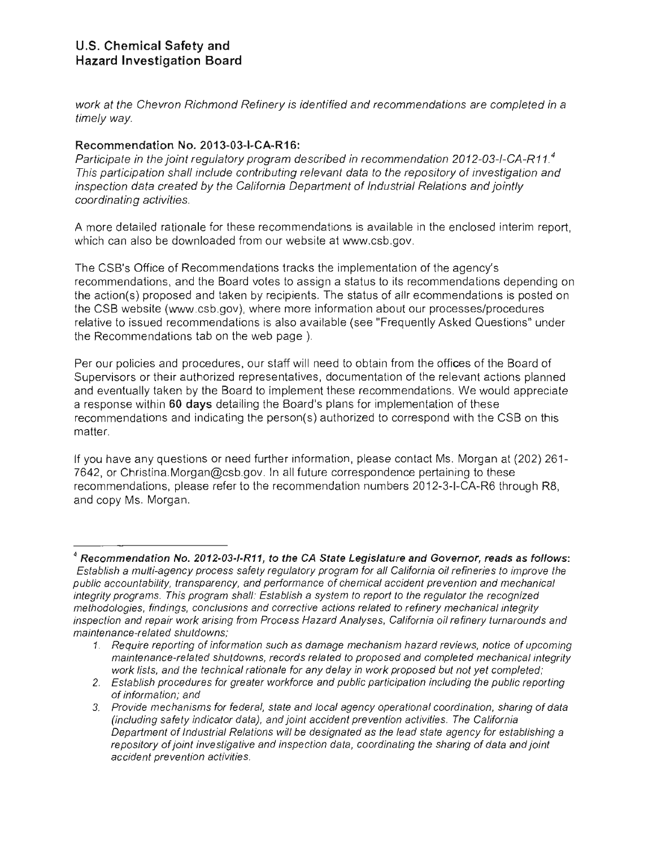## U.S. Chemical Safety and Hazard Investigation Board

work at the Chevron Richmond Refinery is identified and recommendations are completed in a timely way.

### Recommendation No. 2013·03·I·CA·R16:

Participate in the joint regulatory program described in recommendation 2012-03·I·CA·R11*<sup>4</sup>* This participation shall include contributing relevant data to the repository of investigation and inspection data created by the California Department of Industrial Relations and jointly coordinating activities.

A more detailed rationale for these recommendations is available in the enclosed interim report, which can also be downloaded from our website at www.csb.gov.

The CSB's Office of Recommendations tracks the implementation of the agency's recommendations, and the Board votes to assign a status to its recommendations depending on the action(s) proposed and taken by recipients. The status of allr ecommendations is posted on the CSB website (www.csb.gov), where more information about our processes/procedures relative to issued recommendations is also available (see "Frequently Asked Questions" under the Recommendations tab on the web page ).

Per our policies and procedures, our staff will need to obtain from the offices of the Board of Supervisors or their authorized representatives, documentation of the relevant actions planned and eventually taken by the Board to implement these recommendations. We would appreciate a response within 60 days detailing the Board's plans for implementation of these recommendations and indicating the person(s) authorized to correspond with the CSB on this matter.

If you have any questions or need further information, please contact Ms. Morgan at (202) 261· 7642, or Christina.Morgan@csb.gov. In all future correspondence pertaining to these recommendations, please refer to the recommendation numbers 2012·3·I·CA·R6 through R8, and copy Ms. Morgan.

2. Establish procedures for greater workforce and public participation including the public reporting of information; and

 $^4$  Recommendation No. 2012-03-I-R11, to the CA State Legislature and Governor, reads as follows: Establish a multi-agency process safety regulatory program for all California oil refineries to improve the public accountability, transparency, and performance of chemical accident prevention and mechanical integrity programs. This program shall: Establish a system to report to the regulator the recognized methodologies, findings, conclusions and corrective actions related to refinery mechanical integrity inspection and repair work arising from Process Hazard Analyses, California oil refinery turnarounds and maintenance-related shutdowns;

<sup>1.</sup> Require reporting of information such as damage mechanism hazard reviews, notice of upcoming maintenance-related shutdowns, records related to proposed and completed mechanical integrity work lists, and the technical rationale for any delay in work proposed but not yet completed;

<sup>3.</sup> Provide mechanisms for federal, state and local agency operational coordination, sharing of data (including safety indicator data), and joint accident prevention activities. The California Department of Industrial Relations will be designated as the lead state agency for establishing a repository of joint investigative and inspection data, coordinating the sharing of data and joint accident prevention activities.